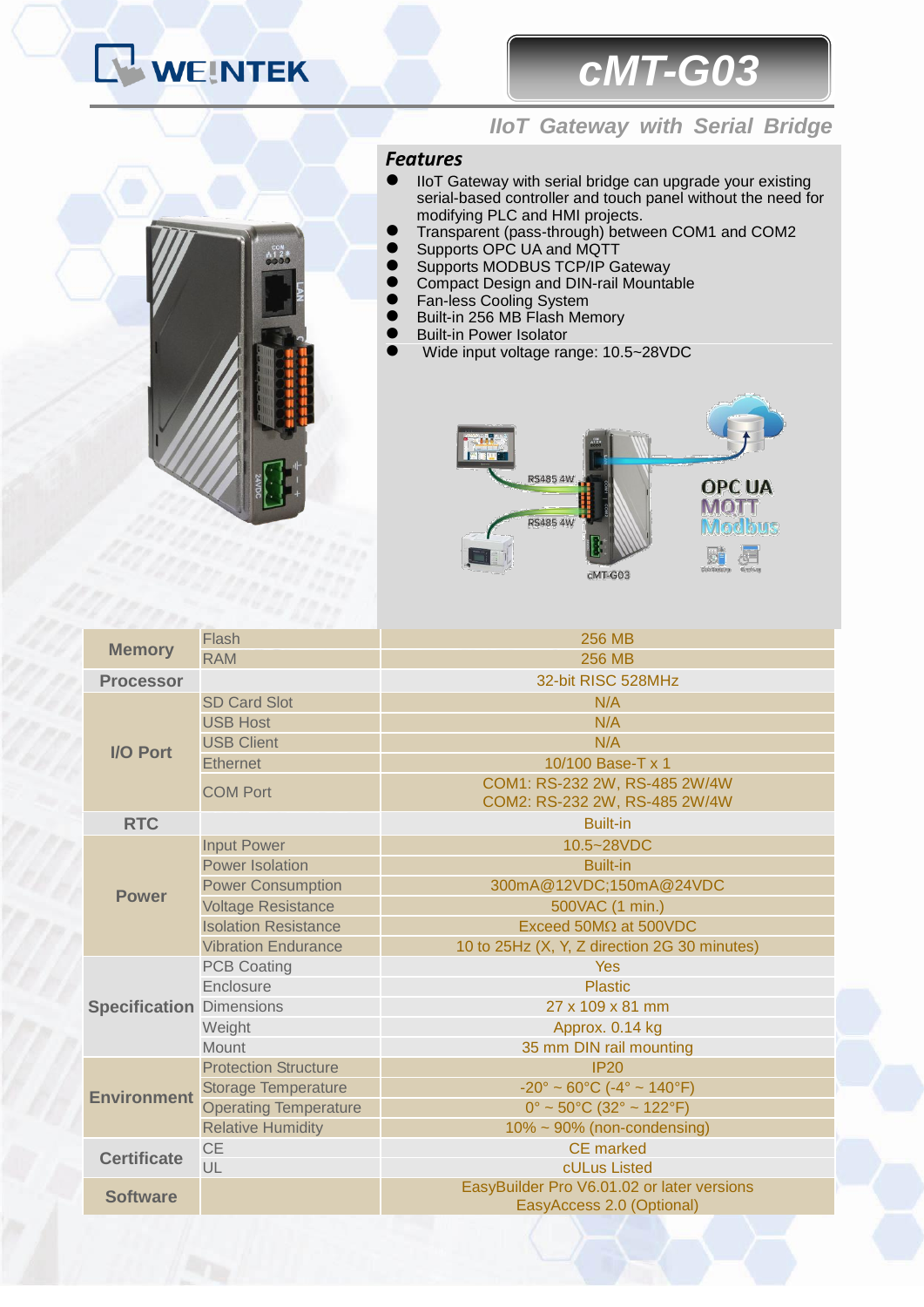# WEINTEK

## *cMT-G03*



### *IIoT Gateway with Serial Bridge*

### *Features*

- IIoT Gateway with serial bridge can upgrade your existing serial-based controller and touch panel without the need for modifying PLC and HMI projects.
- **•** Transparent (pass-through) between COM1 and COM2
- Supports OPC UA and MQTT
- **•** Supports MODBUS TCP/IP Gateway
- **Compact Design and DIN-rail Mountable**
- **•** Fan-less Cooling System
- Built-in 256 MB Flash Memory
- Built-in Power Isolator
- Wide input voltage range: 10.5~28VDC



|                                 | Flash                        | 256 MB                                                                  |  |  |  |  |  |
|---------------------------------|------------------------------|-------------------------------------------------------------------------|--|--|--|--|--|
| <b>Memory</b>                   | <b>RAM</b>                   | <b>256 MB</b>                                                           |  |  |  |  |  |
| <b>Processor</b>                |                              | 32-bit RISC 528MHz                                                      |  |  |  |  |  |
| <b>I/O Port</b>                 | <b>SD Card Slot</b>          | N/A                                                                     |  |  |  |  |  |
|                                 | <b>USB Host</b>              | N/A                                                                     |  |  |  |  |  |
|                                 | <b>USB Client</b>            | N/A                                                                     |  |  |  |  |  |
|                                 | <b>Ethernet</b>              | 10/100 Base-T x 1                                                       |  |  |  |  |  |
|                                 | <b>COM Port</b>              | COM1: RS-232 2W, RS-485 2W/4W<br>COM2: RS-232 2W, RS-485 2W/4W          |  |  |  |  |  |
| <b>RTC</b>                      | <b>Built-in</b>              |                                                                         |  |  |  |  |  |
| <b>Power</b>                    | <b>Input Power</b>           | 10.5~28VDC                                                              |  |  |  |  |  |
|                                 | <b>Power Isolation</b>       | <b>Built-in</b>                                                         |  |  |  |  |  |
|                                 | <b>Power Consumption</b>     | 300mA@12VDC;150mA@24VDC                                                 |  |  |  |  |  |
|                                 | <b>Voltage Resistance</b>    | 500VAC (1 min.)                                                         |  |  |  |  |  |
|                                 | <b>Isolation Resistance</b>  | Exceed 50M $\Omega$ at 500VDC                                           |  |  |  |  |  |
|                                 | <b>Vibration Endurance</b>   | 10 to 25Hz (X, Y, Z direction 2G 30 minutes)                            |  |  |  |  |  |
| <b>Specification Dimensions</b> | <b>PCB Coating</b>           | Yes                                                                     |  |  |  |  |  |
|                                 | Enclosure                    | <b>Plastic</b>                                                          |  |  |  |  |  |
|                                 |                              | 27 x 109 x 81 mm                                                        |  |  |  |  |  |
|                                 | Weight                       | Approx. 0.14 kg                                                         |  |  |  |  |  |
|                                 | Mount                        | 35 mm DIN rail mounting                                                 |  |  |  |  |  |
| <b>Environment</b>              | <b>Protection Structure</b>  | <b>IP20</b>                                                             |  |  |  |  |  |
|                                 | <b>Storage Temperature</b>   | $-20^{\circ} \sim 60^{\circ}$ C (-4° ~ 140°F)                           |  |  |  |  |  |
|                                 | <b>Operating Temperature</b> | $0^{\circ}$ ~ 50°C (32° ~ 122°F)                                        |  |  |  |  |  |
|                                 | <b>Relative Humidity</b>     | $10\% \sim 90\%$ (non-condensing)                                       |  |  |  |  |  |
| <b>Certificate</b>              | <b>CE</b>                    | <b>CE</b> marked                                                        |  |  |  |  |  |
|                                 | UL                           | cULus Listed                                                            |  |  |  |  |  |
| <b>Software</b>                 |                              | EasyBuilder Pro V6.01.02 or later versions<br>EasyAccess 2.0 (Optional) |  |  |  |  |  |
|                                 |                              |                                                                         |  |  |  |  |  |